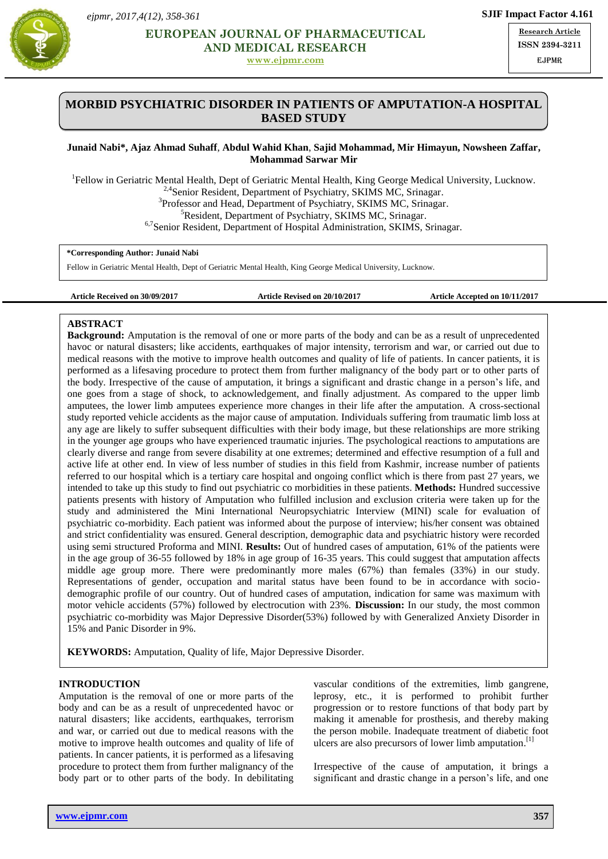



# **EUROPEAN JOURNAL OF PHARMACEUTICAL AND MEDICAL RESEARCH RESPONDENCE AND MEDICAL RESEARCH RESPONDENCE AND MEDICAL RESEARCH**

**[www.ejpmr.com](http://www.ejpmr.com/)**

**Research Article ISSN 2394-3211** EJPMR

# **MORBID PSYCHIATRIC DISORDER IN PATIENTS OF AMPUTATION-A HOSPITAL BASED STUDY**

## **Junaid Nabi\*, Ajaz Ahmad Suhaff**, **Abdul Wahid Khan**, **Sajid Mohammad, Mir Himayun, Nowsheen Zaffar, Mohammad Sarwar Mir**

<sup>1</sup>Fellow in Geriatric Mental Health, Dept of Geriatric Mental Health, King George Medical University, Lucknow. <sup>2,4</sup>Senior Resident, Department of Psychiatry, SKIMS MC, Srinagar. <sup>3</sup>Professor and Head, Department of Psychiatry, SKIMS MC, Srinagar. <sup>5</sup>Resident, Department of Psychiatry, SKIMS MC, Srinagar. <sup>6,7</sup>Senior Resident, Department of Hospital Administration, SKIMS, Srinagar.

## **\*Corresponding Author: Junaid Nabi**

Fellow in Geriatric Mental Health, Dept of Geriatric Mental Health, King George Medical University, Lucknow.

**Article Received on 30/09/2017 Article Revised on 20/10/2017 Article Accepted on 10/11/2017**

## **ABSTRACT**

**Background:** Amputation is the removal of one or more parts of the body and can be as a result of unprecedented havoc or natural disasters; like accidents, earthquakes of major intensity, terrorism and war, or carried out due to medical reasons with the motive to improve health outcomes and quality of life of patients. In cancer patients, it is performed as a lifesaving procedure to protect them from further malignancy of the body part or to other parts of the body. Irrespective of the cause of amputation, it brings a significant and drastic change in a person's life, and one goes from a stage of shock, to acknowledgement, and finally adjustment. As compared to the upper limb amputees, the lower limb amputees experience more changes in their life after the amputation. A cross-sectional study reported vehicle accidents as the major cause of amputation. Individuals suffering from traumatic limb loss at any age are likely to suffer subsequent difficulties with their body image, but these relationships are more striking in the younger age groups who have experienced traumatic injuries. The psychological reactions to amputations are clearly diverse and range from severe disability at one extremes; determined and effective resumption of a full and active life at other end. In view of less number of studies in this field from Kashmir, increase number of patients referred to our hospital which is a tertiary care hospital and ongoing conflict which is there from past 27 years, we intended to take up this study to find out psychiatric co morbidities in these patients. **Methods:** Hundred successive patients presents with history of Amputation who fulfilled inclusion and exclusion criteria were taken up for the study and administered the Mini International Neuropsychiatric Interview (MINI) scale for evaluation of psychiatric co-morbidity. Each patient was informed about the purpose of interview; his/her consent was obtained and strict confidentiality was ensured. General description, demographic data and psychiatric history were recorded using semi structured Proforma and MINI. **Results:** Out of hundred cases of amputation, 61% of the patients were in the age group of 36-55 followed by 18% in age group of 16-35 years. This could suggest that amputation affects middle age group more. There were predominantly more males (67%) than females (33%) in our study. Representations of gender, occupation and marital status have been found to be in accordance with sociodemographic profile of our country. Out of hundred cases of amputation, indication for same was maximum with motor vehicle accidents (57%) followed by electrocution with 23%. **Discussion:** In our study, the most common psychiatric co-morbidity was Major Depressive Disorder(53%) followed by with Generalized Anxiety Disorder in 15% and Panic Disorder in 9%.

**KEYWORDS:** Amputation, Quality of life, Major Depressive Disorder.

## **INTRODUCTION**

Amputation is the removal of one or more parts of the body and can be as a result of unprecedented havoc or natural disasters; like accidents, earthquakes, terrorism and war, or carried out due to medical reasons with the motive to improve health outcomes and quality of life of patients. In cancer patients, it is performed as a lifesaving procedure to protect them from further malignancy of the body part or to other parts of the body. In debilitating vascular conditions of the extremities, limb gangrene, leprosy, etc., it is performed to prohibit further progression or to restore functions of that body part by making it amenable for prosthesis, and thereby making the person mobile. Inadequate treatment of diabetic foot ulcers are also precursors of lower limb amputation.<sup>[1]</sup>

Irrespective of the cause of amputation, it brings a significant and drastic change in a person's life, and one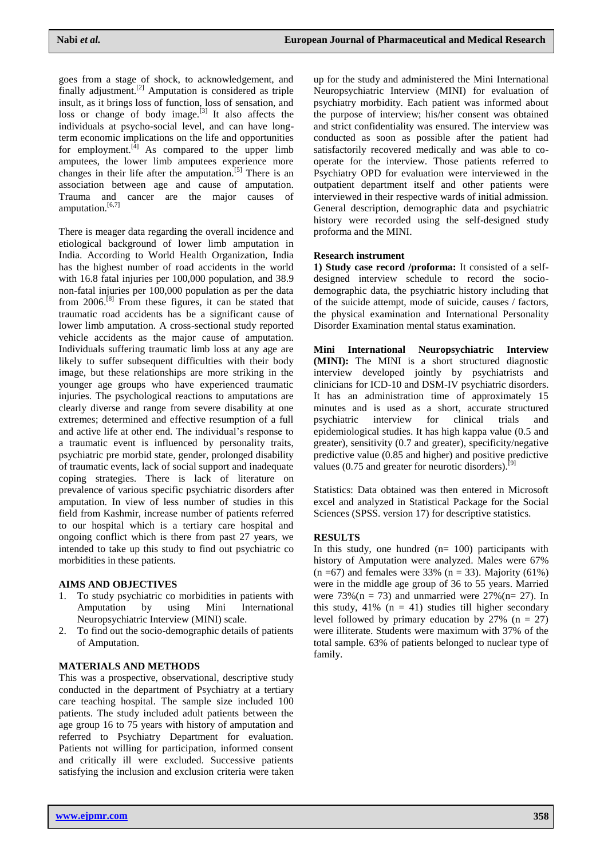goes from a stage of shock, to acknowledgement, and finally adjustment.<sup>[2]</sup> Amputation is considered as triple insult, as it brings loss of function, loss of sensation, and loss or change of body image.<sup>[3]</sup> It also affects the individuals at psycho-social level, and can have longterm economic implications on the life and opportunities for employment. $[4]$  As compared to the upper limb amputees, the lower limb amputees experience more changes in their life after the amputation.<sup>[5]</sup> There is an association between age and cause of amputation. Trauma and cancer are the major causes of amputation.<sup>[6,7]</sup>

There is meager data regarding the overall incidence and etiological background of lower limb amputation in India. According to World Health Organization, India has the highest number of road accidents in the world with 16.8 fatal injuries per 100,000 population, and 38.9 non-fatal injuries per 100,000 population as per the data from  $2006$ .<sup>[8]</sup> From these figures, it can be stated that traumatic road accidents has be a significant cause of lower limb amputation. A cross-sectional study reported vehicle accidents as the major cause of amputation. Individuals suffering traumatic limb loss at any age are likely to suffer subsequent difficulties with their body image, but these relationships are more striking in the younger age groups who have experienced traumatic injuries. The psychological reactions to amputations are clearly diverse and range from severe disability at one extremes; determined and effective resumption of a full and active life at other end. The individual's response to a traumatic event is influenced by personality traits, psychiatric pre morbid state, gender, prolonged disability of traumatic events, lack of social support and inadequate coping strategies. There is lack of literature on prevalence of various specific psychiatric disorders after amputation. In view of less number of studies in this field from Kashmir, increase number of patients referred to our hospital which is a tertiary care hospital and ongoing conflict which is there from past 27 years, we intended to take up this study to find out psychiatric co morbidities in these patients.

#### **AIMS AND OBJECTIVES**

- 1. To study psychiatric co morbidities in patients with Amputation by using Mini International Neuropsychiatric Interview (MINI) scale.
- 2. To find out the socio-demographic details of patients of Amputation.

#### **MATERIALS AND METHODS**

This was a prospective, observational, descriptive study conducted in the department of Psychiatry at a tertiary care teaching hospital. The sample size included 100 patients. The study included adult patients between the age group 16 to 75 years with history of amputation and referred to Psychiatry Department for evaluation. Patients not willing for participation, informed consent and critically ill were excluded. Successive patients satisfying the inclusion and exclusion criteria were taken

up for the study and administered the Mini International Neuropsychiatric Interview (MINI) for evaluation of psychiatry morbidity. Each patient was informed about the purpose of interview; his/her consent was obtained and strict confidentiality was ensured. The interview was conducted as soon as possible after the patient had satisfactorily recovered medically and was able to cooperate for the interview. Those patients referred to Psychiatry OPD for evaluation were interviewed in the outpatient department itself and other patients were interviewed in their respective wards of initial admission. General description, demographic data and psychiatric history were recorded using the self-designed study proforma and the MINI.

#### **Research instrument**

**1) Study case record /proforma:** It consisted of a selfdesigned interview schedule to record the sociodemographic data, the psychiatric history including that of the suicide attempt, mode of suicide, causes / factors, the physical examination and International Personality Disorder Examination mental status examination.

**Mini International Neuropsychiatric Interview (MINI):** The MINI is a short structured diagnostic interview developed jointly by psychiatrists and clinicians for ICD-10 and DSM-IV psychiatric disorders. It has an administration time of approximately 15 minutes and is used as a short, accurate structured psychiatric interview for clinical trials and epidemiological studies. It has high kappa value (0.5 and greater), sensitivity (0.7 and greater), specificity/negative predictive value (0.85 and higher) and positive predictive values  $(0.75$  and greater for neurotic disorders).<sup>[9]</sup>

Statistics: Data obtained was then entered in Microsoft excel and analyzed in Statistical Package for the Social Sciences (SPSS. version 17) for descriptive statistics.

## **RESULTS**

In this study, one hundred  $(n= 100)$  participants with history of Amputation were analyzed. Males were 67%  $(n = 67)$  and females were 33%  $(n = 33)$ . Majority (61%) were in the middle age group of 36 to 55 years. Married were 73%( $n = 73$ ) and unmarried were 27%( $n = 27$ ). In this study,  $41\%$  (n = 41) studies till higher secondary level followed by primary education by  $27\%$  (n = 27) were illiterate. Students were maximum with 37% of the total sample. 63% of patients belonged to nuclear type of family.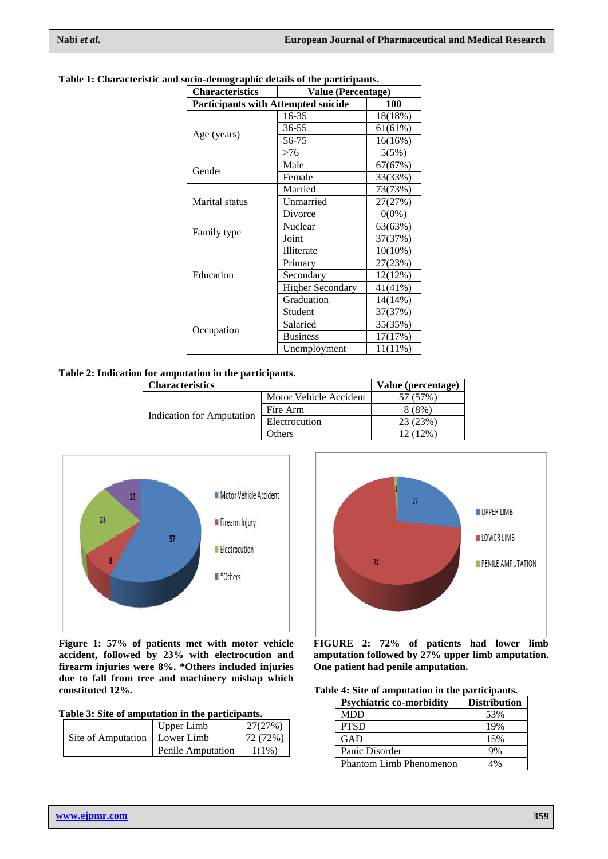| <b>Characteristics</b>                     | ocio acmograpme acumo or une purucipano.<br><b>Value (Percentage)</b> |            |  |  |
|--------------------------------------------|-----------------------------------------------------------------------|------------|--|--|
| <b>Participants with Attempted suicide</b> | <b>100</b>                                                            |            |  |  |
|                                            | 16-35                                                                 | 18(18%)    |  |  |
|                                            | 36-55                                                                 | 61(61%)    |  |  |
| Age (years)                                | 56-75                                                                 | 16(16%)    |  |  |
|                                            | >76                                                                   | 5(5%)      |  |  |
| Gender                                     | Male                                                                  | 67(67%)    |  |  |
|                                            | Female                                                                | 33(33%)    |  |  |
|                                            | Married                                                               | 73(73%)    |  |  |
| <b>Marital</b> status                      | Unmarried                                                             | 27(27%)    |  |  |
|                                            | Divorce                                                               | $0(0\%)$   |  |  |
| Family type                                | Nuclear                                                               | 63(63%)    |  |  |
|                                            | Joint                                                                 | 37(37%)    |  |  |
|                                            | Illiterate                                                            | $10(10\%)$ |  |  |
|                                            | Primary                                                               | 27(23%)    |  |  |
| Education                                  | Secondary                                                             | 12(12%)    |  |  |
|                                            | <b>Higher Secondary</b>                                               | $41(41\%)$ |  |  |
|                                            | Graduation                                                            | 14(14%)    |  |  |
|                                            | Student                                                               | 37(37%)    |  |  |
|                                            | Salaried                                                              | 35(35%)    |  |  |
| Occupation                                 | <b>Business</b>                                                       | 17(17%)    |  |  |
|                                            | Unemployment                                                          | $11(11\%)$ |  |  |

## **Table 1: Characteristic and socio-demographic details of the participants.**

## **Table 2: Indication for amputation in the participants.**

| <b>Characteristics</b>           |                        | Value (percentage) |
|----------------------------------|------------------------|--------------------|
| <b>Indication for Amputation</b> | Motor Vehicle Accident | 57 (57%)           |
|                                  | Fire Arm               | 8(8%)              |
|                                  | Electrocution          | 23 (23%)           |
|                                  | Others                 | 12(12%)            |



**Figure 1: 57% of patients met with motor vehicle accident, followed by 23% with electrocution and firearm injuries were 8%. \*Others included injuries due to fall from tree and machinery mishap which constituted 12%.**

|  |  |  |  | Table 3: Site of amputation in the participants. |  |  |  |  |
|--|--|--|--|--------------------------------------------------|--|--|--|--|
|--|--|--|--|--------------------------------------------------|--|--|--|--|

|                                 | Upper Limb        | 27(27%)  |
|---------------------------------|-------------------|----------|
| Site of Amputation   Lower Limb |                   | 72(72%)  |
|                                 | Penile Amputation | $1(1\%)$ |



**FIGURE 2: 72% of patients had lower limb amputation followed by 27% upper limb amputation. One patient had penile amputation.**

| Table 4: Site of amputation in the participants. |  |
|--------------------------------------------------|--|
|--------------------------------------------------|--|

| <b>Psychiatric co-morbidity</b> | <b>Distribution</b> |
|---------------------------------|---------------------|
| <b>MDD</b>                      | 53%                 |
| <b>PTSD</b>                     | 19%                 |
| GAD                             | 15%                 |
| Panic Disorder                  | 9%                  |
| Phantom Limb Phenomenon         | 1%                  |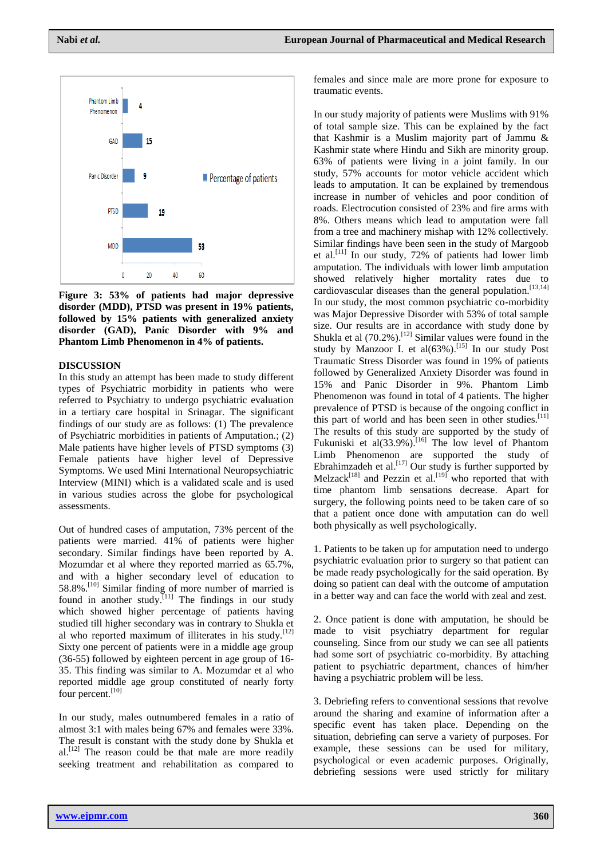

**Figure 3: 53% of patients had major depressive disorder (MDD), PTSD was present in 19% patients, followed by 15% patients with generalized anxiety disorder (GAD), Panic Disorder with 9% and Phantom Limb Phenomenon in 4% of patients.** 

## **DISCUSSION**

In this study an attempt has been made to study different types of Psychiatric morbidity in patients who were referred to Psychiatry to undergo psychiatric evaluation in a tertiary care hospital in Srinagar. The significant findings of our study are as follows: (1) The prevalence of Psychiatric morbidities in patients of Amputation.; (2) Male patients have higher levels of PTSD symptoms (3) Female patients have higher level of Depressive Symptoms. We used Mini International Neuropsychiatric Interview (MINI) which is a validated scale and is used in various studies across the globe for psychological assessments.

Out of hundred cases of amputation, 73% percent of the patients were married. 41% of patients were higher secondary. Similar findings have been reported by A. Mozumdar et al where they reported married as 65.7%, and with a higher secondary level of education to 58.8%.<sup>[10]</sup> Similar finding of more number of married is found in another study.<sup>[11]</sup> The findings in our study which showed higher percentage of patients having studied till higher secondary was in contrary to Shukla et al who reported maximum of illiterates in his study.<sup>[12]</sup> Sixty one percent of patients were in a middle age group (36-55) followed by eighteen percent in age group of 16- 35. This finding was similar to A. Mozumdar et al who reported middle age group constituted of nearly forty four percent.<sup>[10]</sup>

In our study, males outnumbered females in a ratio of almost 3:1 with males being 67% and females were 33%. The result is constant with the study done by Shukla et al.<sup>[12]</sup> The reason could be that male are more readily seeking treatment and rehabilitation as compared to

females and since male are more prone for exposure to traumatic events.

In our study majority of patients were Muslims with 91% of total sample size. This can be explained by the fact that Kashmir is a Muslim majority part of Jammu & Kashmir state where Hindu and Sikh are minority group. 63% of patients were living in a joint family. In our study, 57% accounts for motor vehicle accident which leads to amputation. It can be explained by tremendous increase in number of vehicles and poor condition of roads. Electrocution consisted of 23% and fire arms with 8%. Others means which lead to amputation were fall from a tree and machinery mishap with 12% collectively. Similar findings have been seen in the study of Margoob et al. [11] In our study, 72% of patients had lower limb amputation. The individuals with lower limb amputation showed relatively higher mortality rates due to cardiovascular diseases than the general population.<sup>[13,14]</sup> In our study, the most common psychiatric co-morbidity was Major Depressive Disorder with 53% of total sample size. Our results are in accordance with study done by Shukla et al  $(70.2\%)$ . <sup>[12]</sup> Similar values were found in the study by Manzoor I. et al $(63%)$ .<sup>[15]</sup> In our study Post Traumatic Stress Disorder was found in 19% of patients followed by Generalized Anxiety Disorder was found in 15% and Panic Disorder in 9%. Phantom Limb Phenomenon was found in total of 4 patients. The higher prevalence of PTSD is because of the ongoing conflict in this part of world and has been seen in other studies.<sup>[11]</sup> The results of this study are supported by the study of Fukuniski et al(33.9%).<sup>[16]</sup> The low level of Phantom Limb Phenomenon are supported the study of Ebrahimzadeh et al.<sup>[17]</sup> Our study is further supported by Melzack<sup>[18]</sup> and Pezzin et al.<sup>[19]</sup> who reported that with time phantom limb sensations decrease. Apart for surgery, the following points need to be taken care of so that a patient once done with amputation can do well both physically as well psychologically.

1. Patients to be taken up for amputation need to undergo psychiatric evaluation prior to surgery so that patient can be made ready psychologically for the said operation. By doing so patient can deal with the outcome of amputation in a better way and can face the world with zeal and zest.

2. Once patient is done with amputation, he should be made to visit psychiatry department for regular counseling. Since from our study we can see all patients had some sort of psychiatric co-morbidity. By attaching patient to psychiatric department, chances of him/her having a psychiatric problem will be less.

3. Debriefing refers to conventional sessions that revolve around the sharing and examine of information after a specific event has taken place. Depending on the situation, debriefing can serve a variety of purposes. For example, these sessions can be used for military, psychological or even academic purposes. Originally, debriefing sessions were used strictly for military